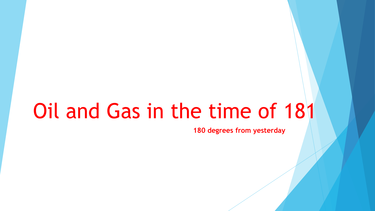# Oil and Gas in the time of 181

**180 degrees from yesterday**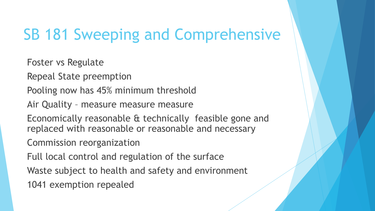### SB 181 Sweeping and Comprehensive

Foster vs Regulate

Repeal State preemption

Pooling now has 45% minimum threshold

Air Quality – measure measure measure

Economically reasonable & technically feasible gone and replaced with reasonable or reasonable and necessary

Commission reorganization

Full local control and regulation of the surface

Waste subject to health and safety and environment

1041 exemption repealed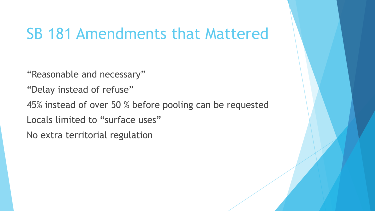#### SB 181 Amendments that Mattered

"Reasonable and necessary"

- "Delay instead of refuse"
- 45% instead of over 50 % before pooling can be requested
- Locals limited to "surface uses"
- No extra territorial regulation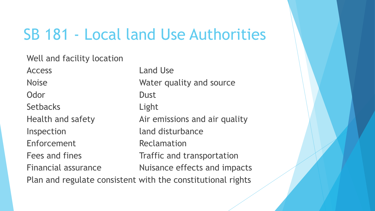#### SB 181 - Local land Use Authorities

Well and facility location

Access **Land Use** Odor Dust Setbacks Light Inspection and disturbance Enforcement Reclamation

Noise Water quality and source Health and safety **Air emissions and air quality** Fees and fines Traffic and transportation Financial assurance Thuisance effects and impacts Plan and regulate consistent with the constitutional rights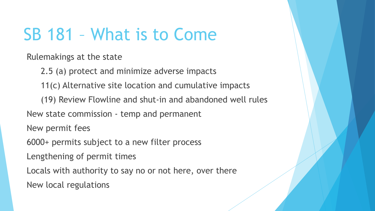# SB 181 – What is to Come

Rulemakings at the state

2.5 (a) protect and minimize adverse impacts

11(c) Alternative site location and cumulative impacts

(19) Review Flowline and shut-in and abandoned well rules

New state commission - temp and permanent

New permit fees

6000+ permits subject to a new filter process

Lengthening of permit times

Locals with authority to say no or not here, over there

New local regulations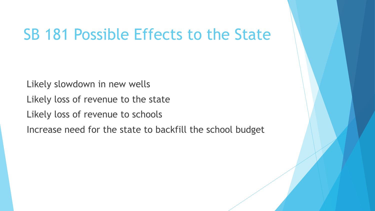#### SB 181 Possible Effects to the State

Likely slowdown in new wells Likely loss of revenue to the state Likely loss of revenue to schools Increase need for the state to backfill the school budget